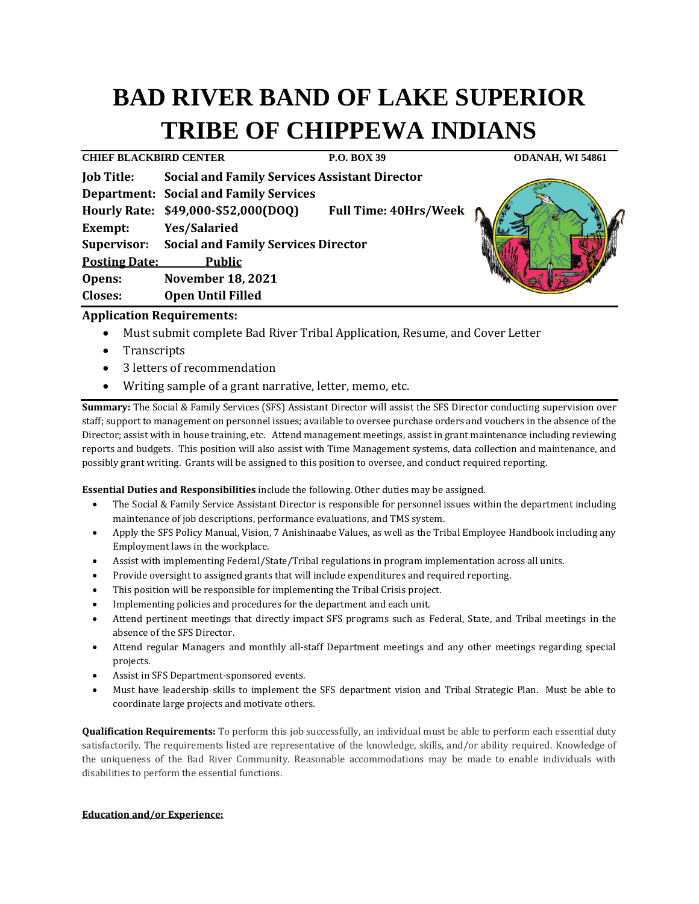# **BAD RIVER BAND OF LAKE SUPERIOR TRIBE OF CHIPPEWA INDIANS**

| <b>CHIEF BLACKBIRD CENTER</b> |                                                      | P.O. BOX 39                  | ODANAH, WI 54861 |
|-------------------------------|------------------------------------------------------|------------------------------|------------------|
| <b>Job Title:</b>             | <b>Social and Family Services Assistant Director</b> |                              |                  |
|                               | <b>Department: Social and Family Services</b>        |                              |                  |
|                               | Hourly Rate: \$49,000-\$52,000(DOQ)                  | <b>Full Time: 40Hrs/Week</b> |                  |
| Exempt:                       | <b>Yes/Salaried</b>                                  |                              |                  |
| Supervisor:                   | <b>Social and Family Services Director</b>           |                              |                  |
| <b>Posting Date:</b>          | <b>Public</b>                                        |                              |                  |
| Opens:                        | <b>November 18, 2021</b>                             |                              |                  |
| <b>Closes:</b>                | <b>Open Until Filled</b>                             |                              |                  |

## **Application Requirements:**

- Must submit complete Bad River Tribal Application, Resume, and Cover Letter
- Transcripts
- 3 letters of recommendation
- Writing sample of a grant narrative, letter, memo, etc.

**Summary:** The Social & Family Services (SFS) Assistant Director will assist the SFS Director conducting supervision over staff; support to management on personnel issues; available to oversee purchase orders and vouchers in the absence of the Director; assist with in house training, etc. Attend management meetings, assist in grant maintenance including reviewing reports and budgets. This position will also assist with Time Management systems, data collection and maintenance, and possibly grant writing. Grants will be assigned to this position to oversee, and conduct required reporting.

**Essential Duties and Responsibilities** include the following. Other duties may be assigned.

- The Social & Family Service Assistant Director is responsible for personnel issues within the department including maintenance of job descriptions, performance evaluations, and TMS system.
- Apply the SFS Policy Manual, Vision, 7 Anishinaabe Values, as well as the Tribal Employee Handbook including any Employment laws in the workplace.
- Assist with implementing Federal/State/Tribal regulations in program implementation across all units.
- Provide oversight to assigned grants that will include expenditures and required reporting.
- This position will be responsible for implementing the Tribal Crisis project.
- Implementing policies and procedures for the department and each unit.
- Attend pertinent meetings that directly impact SFS programs such as Federal, State, and Tribal meetings in the absence of the SFS Director.
- Attend regular Managers and monthly all-staff Department meetings and any other meetings regarding special projects.
- Assist in SFS Department-sponsored events.
- Must have leadership skills to implement the SFS department vision and Tribal Strategic Plan. Must be able to coordinate large projects and motivate others.

**Qualification Requirements:** To perform this job successfully, an individual must be able to perform each essential duty satisfactorily. The requirements listed are representative of the knowledge, skills, and/or ability required. Knowledge of the uniqueness of the Bad River Community. Reasonable accommodations may be made to enable individuals with disabilities to perform the essential functions.

### **Education and/or Experience:**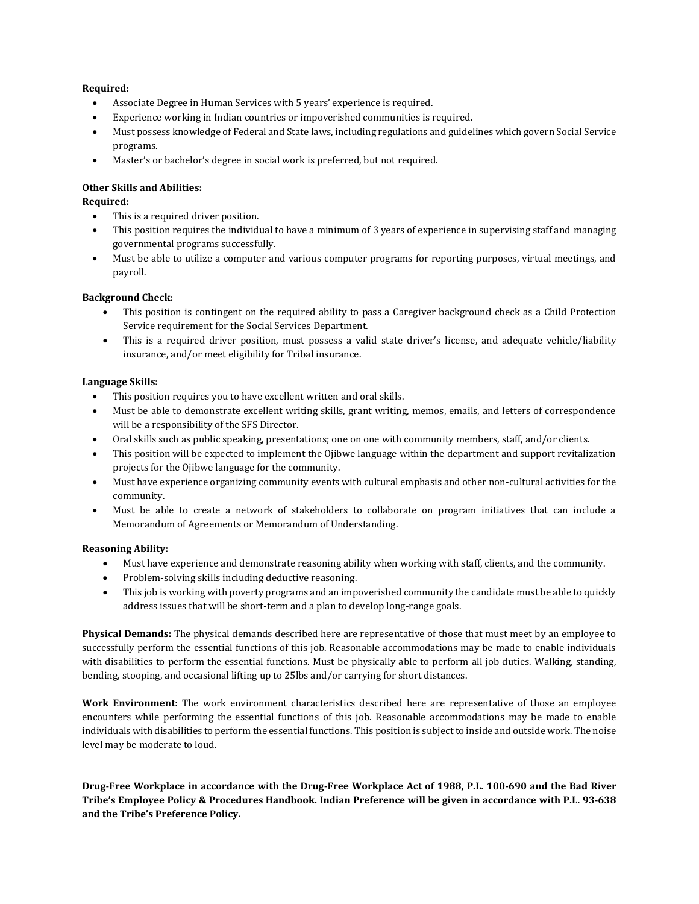#### **Required:**

- Associate Degree in Human Services with 5 years' experience is required.
- Experience working in Indian countries or impoverished communities is required.
- Must possess knowledge of Federal and State laws, including regulations and guidelines which govern Social Service programs.
- Master's or bachelor's degree in social work is preferred, but not required.

#### **Other Skills and Abilities:**

**Required:**

- This is a required driver position.
- This position requires the individual to have a minimum of 3 years of experience in supervising staff and managing governmental programs successfully.
- Must be able to utilize a computer and various computer programs for reporting purposes, virtual meetings, and payroll.

#### **Background Check:**

- This position is contingent on the required ability to pass a Caregiver background check as a Child Protection Service requirement for the Social Services Department.
- This is a required driver position, must possess a valid state driver's license, and adequate vehicle/liability insurance, and/or meet eligibility for Tribal insurance.

#### **Language Skills:**

- This position requires you to have excellent written and oral skills.
- Must be able to demonstrate excellent writing skills, grant writing, memos, emails, and letters of correspondence will be a responsibility of the SFS Director.
- Oral skills such as public speaking, presentations; one on one with community members, staff, and/or clients.
- This position will be expected to implement the Ojibwe language within the department and support revitalization projects for the Ojibwe language for the community.
- Must have experience organizing community events with cultural emphasis and other non-cultural activities for the community.
- Must be able to create a network of stakeholders to collaborate on program initiatives that can include a Memorandum of Agreements or Memorandum of Understanding.

#### **Reasoning Ability:**

- Must have experience and demonstrate reasoning ability when working with staff, clients, and the community.
- Problem-solving skills including deductive reasoning.
- This job is working with poverty programs and an impoverished community the candidate must be able to quickly address issues that will be short-term and a plan to develop long-range goals.

**Physical Demands:** The physical demands described here are representative of those that must meet by an employee to successfully perform the essential functions of this job. Reasonable accommodations may be made to enable individuals with disabilities to perform the essential functions. Must be physically able to perform all job duties. Walking, standing, bending, stooping, and occasional lifting up to 25lbs and/or carrying for short distances.

**Work Environment:** The work environment characteristics described here are representative of those an employee encounters while performing the essential functions of this job. Reasonable accommodations may be made to enable individuals with disabilities to perform the essential functions. This position is subject to inside and outside work. The noise level may be moderate to loud.

**Drug-Free Workplace in accordance with the Drug-Free Workplace Act of 1988, P.L. 100-690 and the Bad River Tribe's Employee Policy & Procedures Handbook. Indian Preference will be given in accordance with P.L. 93-638 and the Tribe's Preference Policy.**